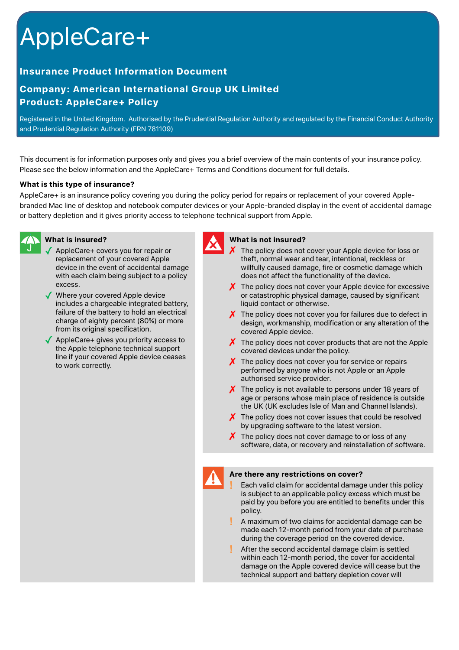# AppleCare+

# **Insurance Product Information Document**

# **Company: American International Group UK Limited Product: AppleCare+ Policy**

Registered in the United Kingdom. Authorised by the Prudential Regulation Authority and regulated by the Financial Conduct Authority and Prudential Regulation Authority (FRN 781109)

This document is for information purposes only and gives you a brief overview of the main contents of your insurance policy. Please see the below information and the AppleCare+ Terms and Conditions document for full details.

# **What is this type of insurance?**

AppleCare+ is an insurance policy covering you during the policy period for repairs or replacement of your covered Applebranded Mac line of desktop and notebook computer devices or your Apple-branded display in the event of accidental damage or battery depletion and it gives priority access to telephone technical support from Apple.



## **What is insured?**

- AppleCare+ covers you for repair or replacement of your covered Apple device in the event of accidental damage with each claim being subject to a policy excess.
- ✓ Where your covered Apple device includes a chargeable integrated battery, failure of the battery to hold an electrical charge of eighty percent (80%) or more from its original specification.
- ✓ AppleCare+ gives you priority access to the Apple telephone technical support line if your covered Apple device ceases to work correctly.



#### **What is not insured?**

- The policy does not cover your Apple device for loss or theft, normal wear and tear, intentional, reckless or willfully caused damage, fire or cosmetic damage which does not affect the functionality of the device.
- $\chi$  The policy does not cover your Apple device for excessive or catastrophic physical damage, caused by significant liquid contact or otherwise.
- $\chi$  The policy does not cover you for failures due to defect in design, workmanship, modification or any alteration of the covered Apple device.
- $\chi$  The policy does not cover products that are not the Apple covered devices under the policy.
- $\boldsymbol{X}$  The policy does not cover you for service or repairs performed by anyone who is not Apple or an Apple authorised service provider.
- $\chi$  The policy is not available to persons under 18 years of age or persons whose main place of residence is outside the UK (UK excludes Isle of Man and Channel Islands).
- $\chi$  The policy does not cover issues that could be resolved by upgrading software to the latest version.
- $\chi$  The policy does not cover damage to or loss of any software, data, or recovery and reinstallation of software.



#### **Are there any restrictions on cover?**

- **!** Each valid claim for accidental damage under this policy is subject to an applicable policy excess which must be paid by you before you are entitled to benefits under this policy.
- **!** A maximum of two claims for accidental damage can be made each 12-month period from your date of purchase during the coverage period on the covered device.
- **!** After the second accidental damage claim is settled within each 12-month period, the cover for accidental damage on the Apple covered device will cease but the technical support and battery depletion cover will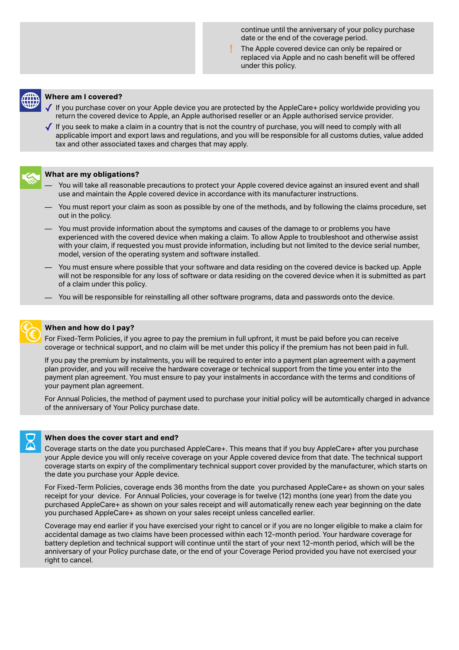continue until the anniversary of your policy purchase date or the end of the coverage period.

**!** The Apple covered device can only be repaired or replaced via Apple and no cash benefit will be offered under this policy.



#### **Where am I covered?**

- ✓ If you purchase cover on your Apple device you are protected by the AppleCare+ policy worldwide providing you return the covered device to Apple, an Apple authorised reseller or an Apple authorised service provider.
- $\checkmark$  If you seek to make a claim in a country that is not the country of purchase, you will need to comply with all applicable import and export laws and regulations, and you will be responsible for all customs duties, value added tax and other associated taxes and charges that may apply.



#### **What are my obligations?**

- You will take all reasonable precautions to protect your Apple covered device against an insured event and shall use and maintain the Apple covered device in accordance with its manufacturer instructions.
- You must report your claim as soon as possible by one of the methods, and by following the claims procedure, set out in the policy.
- You must provide information about the symptoms and causes of the damage to or problems you have experienced with the covered device when making a claim. To allow Apple to troubleshoot and otherwise assist with your claim, if requested you must provide information, including but not limited to the device serial number, model, version of the operating system and software installed.
- You must ensure where possible that your software and data residing on the covered device is backed up. Apple will not be responsible for any loss of software or data residing on the covered device when it is submitted as part of a claim under this policy.
- You will be responsible for reinstalling all other software programs, data and passwords onto the device.



## **When and how do I pay?**

For Fixed-Term Policies, if you agree to pay the premium in full upfront, it must be paid before you can receive coverage or technical support, and no claim will be met under this policy if the premium has not been paid in full.

If you pay the premium by instalments, you will be required to enter into a payment plan agreement with a payment plan provider, and you will receive the hardware coverage or technical support from the time you enter into the payment plan agreement. You must ensure to pay your instalments in accordance with the terms and conditions of your payment plan agreement.

For Annual Policies, the method of payment used to purchase your initial policy will be automtically charged in advance of the anniversary of Your Policy purchase date.



#### **When does the cover start and end?**

Coverage starts on the date you purchased AppleCare+. This means that if you buy AppleCare+ after you purchase your Apple device you will only receive coverage on your Apple covered device from that date. The technical support coverage starts on expiry of the complimentary technical support cover provided by the manufacturer, which starts on the date you purchase your Apple device.

For Fixed-Term Policies, coverage ends 36 months from the date you purchased AppleCare+ as shown on your sales receipt for your device. For Annual Policies, your coverage is for twelve (12) months (one year) from the date you purchased AppleCare+ as shown on your sales receipt and will automatically renew each year beginning on the date you purchased AppleCare+ as shown on your sales receipt unless cancelled earlier.

Coverage may end earlier if you have exercised your right to cancel or if you are no longer eligible to make a claim for accidental damage as two claims have been processed within each 12-month period. Your hardware coverage for battery depletion and technical support will continue until the start of your next 12-month period, which will be the anniversary of your Policy purchase date, or the end of your Coverage Period provided you have not exercised your right to cancel.